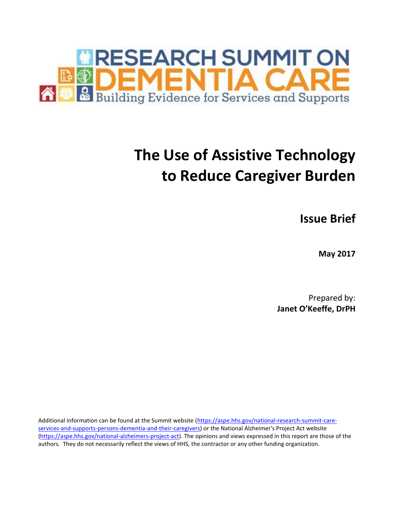

# **The Use of Assistive Technology to Reduce Caregiver Burden**

**Issue Brief**

**May 2017**

Prepared by: **Janet O'Keeffe, DrPH**

Additional information can be found at the Summit website [\(https://aspe.hhs.gov/national-research-summit-care](https://aspe.hhs.gov/national-research-summit-care-services-and-supports-persons-dementia-and-their-caregivers)[services-and-supports-persons-dementia-and-their-caregivers\)](https://aspe.hhs.gov/national-research-summit-care-services-and-supports-persons-dementia-and-their-caregivers) or the National Alzheimer's Project Act website [\(https://aspe.hhs.gov/national-alzheimers-project-act\)](https://aspe.hhs.gov/national-alzheimers-project-act). The opinions and views expressed in this report are those of the authors. They do not necessarily reflect the views of HHS, the contractor or any other funding organization.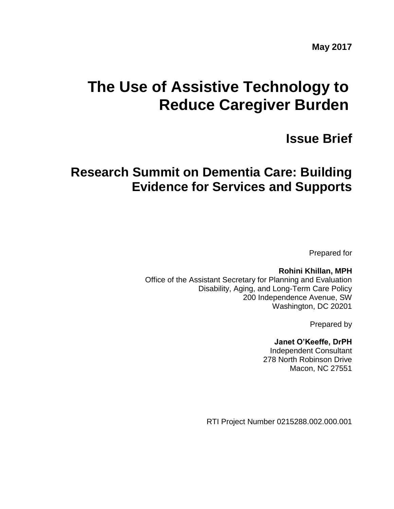# **The Use of Assistive Technology to Reduce Caregiver Burden**

# **Issue Brief**

# **Research Summit on Dementia Care: Building Evidence for Services and Supports**

Prepared for

**Rohini Khillan, MPH** Office of the Assistant Secretary for Planning and Evaluation Disability, Aging, and Long-Term Care Policy 200 Independence Avenue, SW Washington, DC 20201

Prepared by

# **Janet O'Keeffe, DrPH**

Independent Consultant 278 North Robinson Drive Macon, NC 27551

RTI Project Number 0215288.002.000.001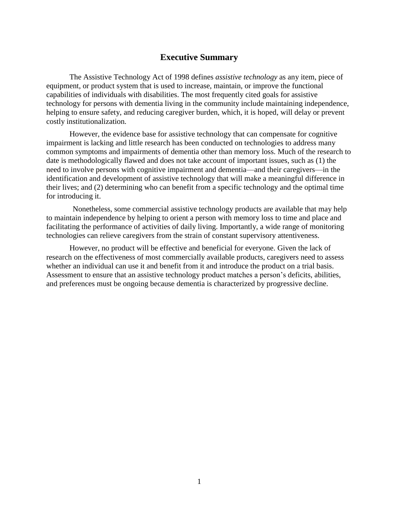# **Executive Summary**

The Assistive Technology Act of 1998 defines *assistive technology* as any item, piece of equipment, or product system that is used to increase, maintain, or improve the functional capabilities of individuals with disabilities. The most frequently cited goals for assistive technology for persons with dementia living in the community include maintaining independence, helping to ensure safety, and reducing caregiver burden, which, it is hoped, will delay or prevent costly institutionalization.

However, the evidence base for assistive technology that can compensate for cognitive impairment is lacking and little research has been conducted on technologies to address many common symptoms and impairments of dementia other than memory loss. Much of the research to date is methodologically flawed and does not take account of important issues, such as (1) the need to involve persons with cognitive impairment and dementia—and their caregivers—in the identification and development of assistive technology that will make a meaningful difference in their lives; and (2) determining who can benefit from a specific technology and the optimal time for introducing it.

Nonetheless, some commercial assistive technology products are available that may help to maintain independence by helping to orient a person with memory loss to time and place and facilitating the performance of activities of daily living. Importantly, a wide range of monitoring technologies can relieve caregivers from the strain of constant supervisory attentiveness.

However, no product will be effective and beneficial for everyone. Given the lack of research on the effectiveness of most commercially available products, caregivers need to assess whether an individual can use it and benefit from it and introduce the product on a trial basis. Assessment to ensure that an assistive technology product matches a person's deficits, abilities, and preferences must be ongoing because dementia is characterized by progressive decline.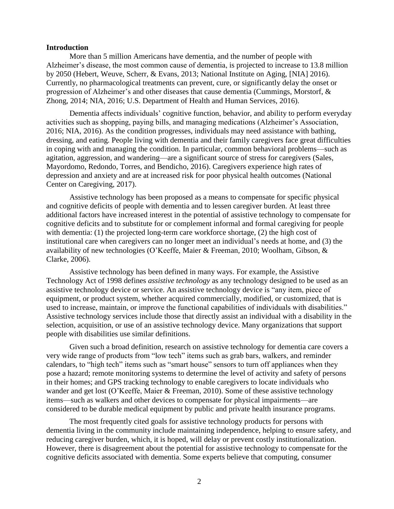#### **Introduction**

More than 5 million Americans have dementia, and the number of people with Alzheimer's disease, the most common cause of dementia, is projected to increase to 13.8 million by 2050 (Hebert, Weuve, Scherr, & Evans, 2013; National Institute on Aging, [NIA] 2016). Currently, no pharmacological treatments can prevent, cure, or significantly delay the onset or progression of Alzheimer's and other diseases that cause dementia (Cummings, Morstorf, & Zhong, 2014; NIA, 2016; U.S. Department of Health and Human Services, 2016).

Dementia affects individuals' cognitive function, behavior, and ability to perform everyday activities such as shopping, paying bills, and managing medications (Alzheimer's Association, 2016; NIA, 2016). As the condition progresses, individuals may need assistance with bathing, dressing, and eating. People living with dementia and their family caregivers face great difficulties in coping with and managing the condition. In particular, common behavioral problems—such as agitation, aggression, and wandering—are a significant source of stress for caregivers (Sales, Mayordomo, Redondo, Torres, and Bendicho, 2016). Caregivers experience high rates of depression and anxiety and are at increased risk for poor physical health outcomes (National Center on Caregiving, 2017).

Assistive technology has been proposed as a means to compensate for specific physical and cognitive deficits of people with dementia and to lessen caregiver burden. At least three additional factors have increased interest in the potential of assistive technology to compensate for cognitive deficits and to substitute for or complement informal and formal caregiving for people with dementia: (1) the projected long-term care workforce shortage, (2) the high cost of institutional care when caregivers can no longer meet an individual's needs at home, and (3) the availability of new technologies (O'Keeffe, Maier & Freeman, 2010; Woolham, Gibson, & Clarke, 2006).

Assistive technology has been defined in many ways. For example, the Assistive Technology Act of 1998 defines *assistive technology* as any technology designed to be used as an assistive technology device or service. An assistive technology device is "any item, piece of equipment, or product system, whether acquired commercially, modified, or customized, that is used to increase, maintain, or improve the functional capabilities of individuals with disabilities." Assistive technology services include those that directly assist an individual with a disability in the selection, acquisition, or use of an assistive technology device. Many organizations that support people with disabilities use similar definitions.

Given such a broad definition, research on assistive technology for dementia care covers a very wide range of products from "low tech" items such as grab bars, walkers, and reminder calendars, to "high tech" items such as "smart house" sensors to turn off appliances when they pose a hazard; remote monitoring systems to determine the level of activity and safety of persons in their homes; and GPS tracking technology to enable caregivers to locate individuals who wander and get lost (O'Keeffe, Maier & Freeman, 2010). Some of these assistive technology items—such as walkers and other devices to compensate for physical impairments—are considered to be durable medical equipment by public and private health insurance programs.

The most frequently cited goals for assistive technology products for persons with dementia living in the community include maintaining independence, helping to ensure safety, and reducing caregiver burden, which, it is hoped, will delay or prevent costly institutionalization. However, there is disagreement about the potential for assistive technology to compensate for the cognitive deficits associated with dementia. Some experts believe that computing, consumer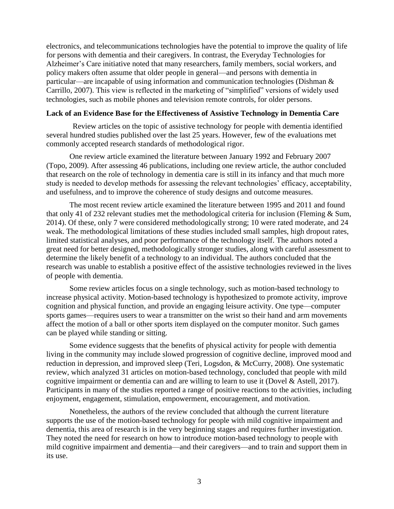electronics, and telecommunications technologies have the potential to improve the quality of life for persons with dementia and their caregivers. In contrast, the Everyday Technologies for Alzheimer's Care initiative noted that many researchers, family members, social workers, and policy makers often assume that older people in general—and persons with dementia in particular—are incapable of using information and communication technologies (Dishman & Carrillo, 2007). This view is reflected in the marketing of "simplified" versions of widely used technologies, such as mobile phones and television remote controls, for older persons.

#### **Lack of an Evidence Base for the Effectiveness of Assistive Technology in Dementia Care**

Review articles on the topic of assistive technology for people with dementia identified several hundred studies published over the last 25 years. However, few of the evaluations met commonly accepted research standards of methodological rigor.

One review article examined the literature between January 1992 and February 2007 (Topo, 2009). After assessing 46 publications, including one review article, the author concluded that research on the role of technology in dementia care is still in its infancy and that much more study is needed to develop methods for assessing the relevant technologies' efficacy, acceptability, and usefulness, and to improve the coherence of study designs and outcome measures.

The most recent review article examined the literature between 1995 and 2011 and found that only 41 of 232 relevant studies met the methodological criteria for inclusion (Fleming & Sum, 2014). Of these, only 7 were considered methodologically strong; 10 were rated moderate, and 24 weak. The methodological limitations of these studies included small samples, high dropout rates, limited statistical analyses, and poor performance of the technology itself. The authors noted a great need for better designed, methodologically stronger studies, along with careful assessment to determine the likely benefit of a technology to an individual. The authors concluded that the research was unable to establish a positive effect of the assistive technologies reviewed in the lives of people with dementia.

Some review articles focus on a single technology, such as motion-based technology to increase physical activity. Motion-based technology is hypothesized to promote activity, improve cognition and physical function, and provide an engaging leisure activity. One type—computer sports games—requires users to wear a transmitter on the wrist so their hand and arm movements affect the motion of a ball or other sports item displayed on the computer monitor. Such games can be played while standing or sitting.

Some evidence suggests that the benefits of physical activity for people with dementia living in the community may include slowed progression of cognitive decline, improved mood and reduction in depression, and improved sleep (Teri, Logsdon, & McCurry, 2008). One systematic review, which analyzed 31 articles on motion-based technology, concluded that people with mild cognitive impairment or dementia can and are willing to learn to use it (Dovel & Astell, 2017). Participants in many of the studies reported a range of positive reactions to the activities, including enjoyment, engagement, stimulation, empowerment, encouragement, and motivation.

Nonetheless, the authors of the review concluded that although the current literature supports the use of the motion-based technology for people with mild cognitive impairment and dementia, this area of research is in the very beginning stages and requires further investigation. They noted the need for research on how to introduce motion-based technology to people with mild cognitive impairment and dementia—and their caregivers—and to train and support them in its use.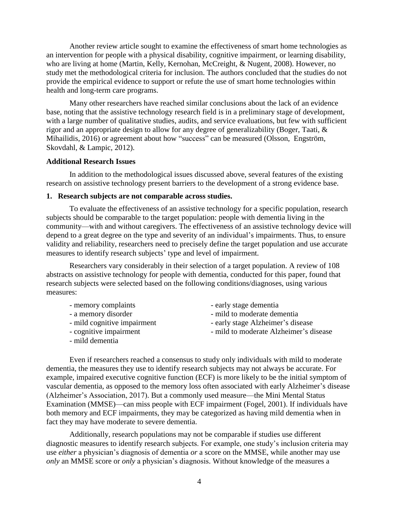Another review article sought to examine the effectiveness of smart home technologies as an intervention for people with a physical disability, cognitive impairment, or learning disability, who are living at home [\(Martin, Kelly,](http://www.ncbi.nlm.nih.gov/pubmed/?term=Martin%20S%5BAuthor%5D&cauthor=true&cauthor_uid=18843715) [Kernohan, McCreight, &](http://www.ncbi.nlm.nih.gov/pubmed/?term=Kernohan%20WG%5BAuthor%5D&cauthor=true&cauthor_uid=18843715) [Nugent, 2](http://www.ncbi.nlm.nih.gov/pubmed/?term=Nugent%20C%5BAuthor%5D&cauthor=true&cauthor_uid=18843715)008). However, no study met the methodological criteria for inclusion. The authors concluded that the studies do not provide the empirical evidence to support or refute the use of smart home technologies within health and long-term care programs.

Many other researchers have reached similar conclusions about the lack of an evidence base, noting that the assistive technology research field is in a preliminary stage of development, with a large number of qualitative studies, audits, and service evaluations, but few with sufficient rigor and an appropriate design to allow for any degree of generalizability [\(Boger, Taati,](http://www.ncbi.nlm.nih.gov/pubmed/?term=Boger%20J%5BAuthor%5D&cauthor=true&cauthor_uid=26135222) & [Mihailidis,](http://www.ncbi.nlm.nih.gov/pubmed/?term=Mihailidis%20A%5BAuthor%5D&cauthor=true&cauthor_uid=26135222) 2016) or agreement about how "success" can be measured [\(Olsson,](http://www.ncbi.nlm.nih.gov/pubmed/?term=Olsson%20A%5BAuthor%5D&cauthor=true&cauthor_uid=21843198) [Engström,](http://www.ncbi.nlm.nih.gov/pubmed/?term=Engstr%C3%B6m%20M%5BAuthor%5D&cauthor=true&cauthor_uid=21843198)  [Skovdahl, &](http://www.ncbi.nlm.nih.gov/pubmed/?term=Skovdahl%20K%5BAuthor%5D&cauthor=true&cauthor_uid=21843198) [Lampic, 2](http://www.ncbi.nlm.nih.gov/pubmed/?term=Lampic%20C%5BAuthor%5D&cauthor=true&cauthor_uid=21843198)012).

#### **Additional Research Issues**

In addition to the methodological issues discussed above, several features of the existing research on assistive technology present barriers to the development of a strong evidence base.

#### **1. Research subjects are not comparable across studies.**

To evaluate the effectiveness of an assistive technology for a specific population, research subjects should be comparable to the target population: people with dementia living in the community—with and without caregivers. The effectiveness of an assistive technology device will depend to a great degree on the type and severity of an individual's impairments. Thus, to ensure validity and reliability, researchers need to precisely define the target population and use accurate measures to identify research subjects' type and level of impairment.

Researchers vary considerably in their selection of a target population. A review of 108 abstracts on assistive technology for people with dementia, conducted for this paper, found that research subjects were selected based on the following conditions/diagnoses, using various measures:

- memory complaints
- a memory disorder
- mild cognitive impairment
- cognitive impairment
- mild dementia
- early stage dementia
- mild to moderate dementia
- early stage Alzheimer's disease
- mild to moderate Alzheimer's disease

Even if researchers reached a consensus to study only individuals with mild to moderate dementia, the measures they use to identify research subjects may not always be accurate. For example, impaired executive cognitive function (ECF) is more likely to be the initial symptom of vascular dementia, as opposed to the memory loss often associated with early Alzheimer's disease (Alzheimer's Association, 2017). But a commonly used measure—the Mini Mental Status Examination (MMSE)—can miss people with ECF impairment (Fogel, 2001). If individuals have both memory and ECF impairments, they may be categorized as having mild dementia when in fact they may have moderate to severe dementia.

Additionally, research populations may not be comparable if studies use different diagnostic measures to identify research subjects. For example, one study's inclusion criteria may use *either* a physician's diagnosis of dementia *or* a score on the MMSE, while another may use *only* an MMSE score or *only* a physician's diagnosis. Without knowledge of the measures a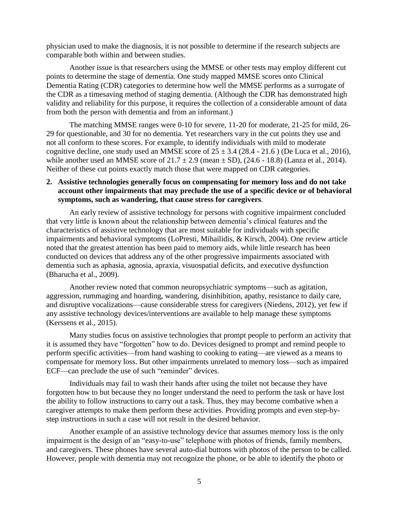physician used to make the diagnosis, it is not possible to determine if the research subjects are comparable both within and between studies.

Another issue is that researchers using the MMSE or other tests may employ different cut points to determine the stage of dementia. One study mapped MMSE scores onto Clinical Dementia Rating (CDR) categories to determine how well the MMSE performs as a surrogate of the CDR as a timesaving method of staging dementia. (Although the CDR has demonstrated high validity and reliability for this purpose, it requires the collection of a considerable amount of data from both the person with dementia and from an informant.)

The matching MMSE ranges were 0-10 for severe, 11-20 for moderate, 21-25 for mild, 26- 29 for questionable, and 30 for no dementia. Yet researchers vary in the cut points they use and not all conform to these scores. For example, to identify individuals with mild to moderate cognitive decline, one study used an MMSE score of  $25 \pm 3.4$  (28.4 - 21.6) [\(De Luca et al., 2016\),](http://www.ncbi.nlm.nih.gov/pubmed/?term=De%20Luca%20R%5BAuthor%5D&cauthor=true&cauthor_uid=27383825) while another used an MMSE score of  $21.7 \pm 2.9$  (mean  $\pm$  SD), (24.6 - 18.8) (Lanza et al., 2014). Neither of these cut points exactly match those that were mapped on CDR categories.

#### **2. Assistive technologies generally focus on compensating for memory loss and do not take account other impairments that may preclude the use of a specific device or of behavioral symptoms, such as wandering, that cause stress for caregivers**.

An early review of assistive technology for persons with cognitive impairment concluded that very little is known about the relationship between dementia's clinical features and the characteristics of assistive technology that are most suitable for individuals with specific impairments and behavioral symptoms (LoPresti, Mihailidis, & Kirsch, 2004). One review article noted that the greatest attention has been paid to memory aids, while little research has been conducted on devices that address any of the other progressive impairments associated with dementia such as aphasia, agnosia, apraxia, visuospatial deficits, and executive dysfunction (Bharucha et al., 2009).

Another review noted that common neuropsychiatric symptoms—such as agitation, aggression, rummaging and hoarding, wandering, disinhibition, apathy, resistance to daily care, and disruptive vocalizations—cause considerable stress for caregivers (Niedens, 2012), yet few if any assistive technology devices/interventions are available to help manage these symptoms [\(Kerssens](http://www.ncbi.nlm.nih.gov/pubmed/?term=Kerssens%20C%5BAuthor%5D&cauthor=true&cauthor_uid=25614507) et al., 2015).

Many studies focus on assistive technologies that prompt people to perform an activity that it is assumed they have "forgotten" how to do. Devices designed to prompt and remind people to perform specific activities—from hand washing to cooking to eating—are viewed as a means to compensate for memory loss. But other impairments unrelated to memory loss—such as impaired ECF—can preclude the use of such "reminder" devices.

Individuals may fail to wash their hands after using the toilet not because they have forgotten how to but because they no longer understand the need to perform the task or have lost the ability to follow instructions to carry out a task. Thus, they may become combative when a caregiver attempts to make them perform these activities. Providing prompts and even step-bystep instructions in such a case will not result in the desired behavior.

Another example of an assistive technology device that assumes memory loss is the only impairment is the design of an "easy-to-use" telephone with photos of friends, family members, and caregivers. These phones have several auto-dial buttons with photos of the person to be called. However, people with dementia may not recognize the phone, or be able to identify the photo or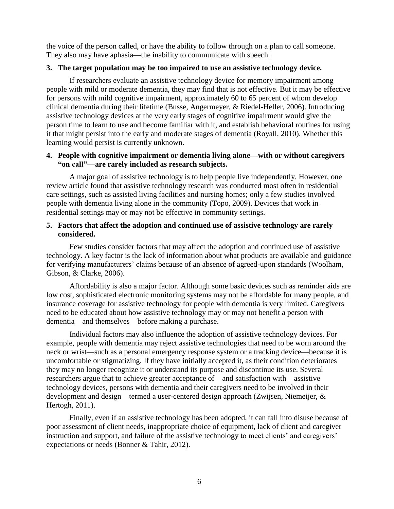the voice of the person called, or have the ability to follow through on a plan to call someone. They also may have aphasia—the inability to communicate with speech.

# **3. The target population may be too impaired to use an assistive technology device.**

If researchers evaluate an assistive technology device for memory impairment among people with mild or moderate dementia, they may find that is not effective. But it may be effective for persons with mild cognitive impairment, approximately 60 to 65 percent of whom develop clinical dementia during their lifetime (Busse, Angermeyer, & Riedel-Heller, 2006). Introducing assistive technology devices at the very early stages of cognitive impairment would give the person time to learn to use and become familiar with it, and establish behavioral routines for using it that might persist into the early and moderate stages of dementia (Royall, 2010). Whether this learning would persist is currently unknown.

## **4. People with cognitive impairment or dementia living alone—with or without caregivers "on call"—are rarely included as research subjects.**

A major goal of assistive technology is to help people live independently. However, one review article found that assistive technology research was conducted most often in residential care settings, such as assisted living facilities and nursing homes; only a few studies involved people with dementia living alone in the community (Topo, 2009). Devices that work in residential settings may or may not be effective in community settings.

### **5. Factors that affect the adoption and continued use of assistive technology are rarely considered.**

Few studies consider factors that may affect the adoption and continued use of assistive technology. A key factor is the lack of information about what products are available and guidance for verifying manufacturers' claims because of an absence of agreed-upon standards (Woolham, Gibson, & Clarke, 2006).

Affordability is also a major factor. Although some basic devices such as reminder aids are low cost, sophisticated electronic monitoring systems may not be affordable for many people, and insurance coverage for assistive technology for people with dementia is very limited. Caregivers need to be educated about how assistive technology may or may not benefit a person with dementia—and themselves—before making a purchase.

Individual factors may also influence the adoption of assistive technology devices. For example, people with dementia may reject assistive technologies that need to be worn around the neck or wrist—such as a personal emergency response system or a tracking device—because it is uncomfortable or stigmatizing. If they have initially accepted it, as their condition deteriorates they may no longer recognize it or understand its purpose and discontinue its use. Several researchers argue that to achieve greater acceptance of—and satisfaction with—assistive technology devices, persons with dementia and their caregivers need to be involved in their development and design—termed a user-centered design approach (Zwijsen, Niemeijer, & Hertogh, 2011).

Finally, even if an assistive technology has been adopted, it can fall into disuse because of poor assessment of client needs, inappropriate choice of equipment, lack of client and caregiver instruction and support, and failure of the assistive technology to meet clients' and caregivers' expectations or needs (Bonner & Tahir, 2012).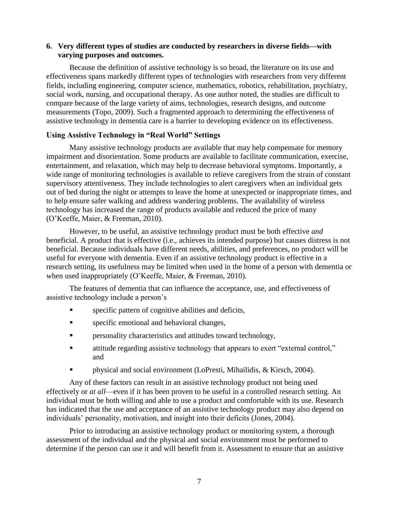## **6. Very different types of studies are conducted by researchers in diverse fields—with varying purposes and outcomes.**

Because the definition of assistive technology is so broad, the literature on its use and effectiveness spans markedly different types of technologies with researchers from very different fields, including engineering, computer science, mathematics, robotics, rehabilitation, psychiatry, social work, nursing, and occupational therapy. As one author noted, the studies are difficult to compare because of the large variety of aims, technologies, research designs, and outcome measurements (Topo, 2009). Such a fragmented approach to determining the effectiveness of assistive technology in dementia care is a barrier to developing evidence on its effectiveness.

#### **Using Assistive Technology in "Real World" Settings**

Many assistive technology products are available that may help compensate for memory impairment and disorientation. Some products are available to facilitate communication, exercise, entertainment, and relaxation, which may help to decrease behavioral symptoms. Importantly, a wide range of monitoring technologies is available to relieve caregivers from the strain of constant supervisory attentiveness. They include technologies to alert caregivers when an individual gets out of bed during the night or attempts to leave the home at unexpected or inappropriate times, and to help ensure safer walking and address wandering problems. The availability of wireless technology has increased the range of products available and reduced the price of many (O'Keeffe, Maier, & Freeman, 2010).

However, to be useful, an assistive technology product must be both effective *and* beneficial. A product that is effective (i.e., achieves its intended purpose) but causes distress is not beneficial. Because individuals have different needs, abilities, and preferences, no product will be useful for everyone with dementia. Even if an assistive technology product is effective in a research setting, its usefulness may be limited when used in the home of a person with dementia or when used inappropriately (O'Keeffe, Maier, & Freeman, 2010).

The features of dementia that can influence the acceptance, use, and effectiveness of assistive technology include a person's

- **specific pattern of cognitive abilities and deficits,**
- **specific emotional and behavioral changes,**
- personality characteristics and attitudes toward technology,
- attitude regarding assistive technology that appears to exert "external control," and
- physical and social environment (LoPresti, Mihailidis, & Kirsch, 2004).

Any of these factors can result in an assistive technology product not being used effectively or *at all*—even if it has been proven to be useful in a controlled research setting. An individual must be both willing and able to use a product and comfortable with its use. Research has indicated that the use and acceptance of an assistive technology product may also depend on individuals' personality, motivation, and insight into their deficits (Jones, 2004).

Prior to introducing an assistive technology product or monitoring system, a thorough assessment of the individual and the physical and social environment must be performed to determine if the person can use it and will benefit from it. Assessment to ensure that an assistive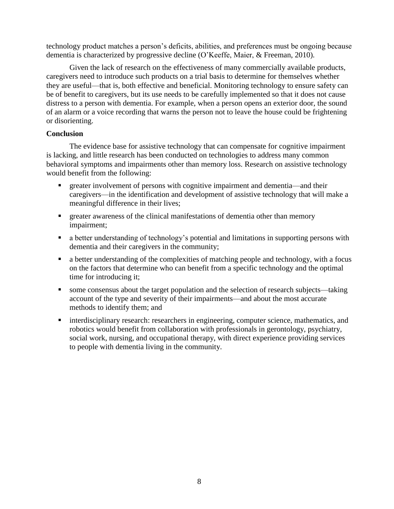technology product matches a person's deficits, abilities, and preferences must be ongoing because dementia is characterized by progressive decline (O'Keeffe, Maier, & Freeman, 2010).

Given the lack of research on the effectiveness of many commercially available products, caregivers need to introduce such products on a trial basis to determine for themselves whether they are useful—that is, both effective and beneficial. Monitoring technology to ensure safety can be of benefit to caregivers, but its use needs to be carefully implemented so that it does not cause distress to a person with dementia. For example, when a person opens an exterior door, the sound of an alarm or a voice recording that warns the person not to leave the house could be frightening or disorienting.

## **Conclusion**

The evidence base for assistive technology that can compensate for cognitive impairment is lacking, and little research has been conducted on technologies to address many common behavioral symptoms and impairments other than memory loss. Research on assistive technology would benefit from the following:

- greater involvement of persons with cognitive impairment and dementia—and their caregivers—in the identification and development of assistive technology that will make a meaningful difference in their lives;
- **Exercise 2** greater awareness of the clinical manifestations of dementia other than memory impairment;
- a better understanding of technology's potential and limitations in supporting persons with dementia and their caregivers in the community;
- a better understanding of the complexities of matching people and technology, with a focus on the factors that determine who can benefit from a specific technology and the optimal time for introducing it;
- some consensus about the target population and the selection of research subjects—taking account of the type and severity of their impairments—and about the most accurate methods to identify them; and
- interdisciplinary research: researchers in engineering, computer science, mathematics, and robotics would benefit from collaboration with professionals in gerontology, psychiatry, social work, nursing, and occupational therapy, with direct experience providing services to people with dementia living in the community.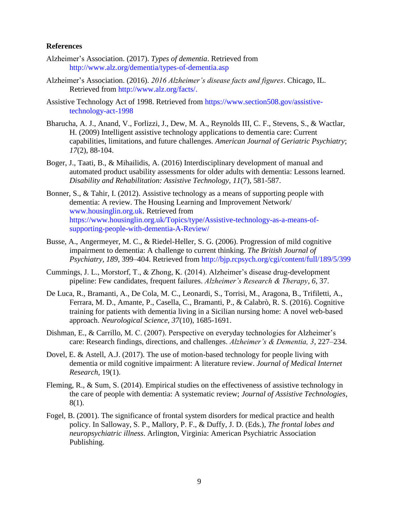#### **References**

- Alzheimer's Association. (2017). *Types of dementia*. Retrieved from <http://www.alz.org/dementia/types-of-dementia.asp>
- Alzheimer's Association. (2016). *2016 Alzheimer's disease facts and figures*. Chicago, IL. Retrieved from [http://www.alz.org/facts/.](http://www.alz.org/facts/)
- Assistive Technology Act of 1998. Retrieved from [https://www.section508.gov/assistive](https://www.section508.gov/assistive-technology-act-1998)[technology-act-1998](https://www.section508.gov/assistive-technology-act-1998)
- Bharucha, A. J., Anand, V., Forlizzi, J., Dew, M. A., Reynolds III, C. F., Stevens, S., & Wactlar, H. (2009) Intelligent assistive technology applications to dementia care: Current capabilities, limitations, and future challenges. *American Journal of Geriatric Psychiatry*; *17*(2), 88-104.
- Boger, J., Taati, B., & Mihailidis, A. (2016) Interdisciplinary development of manual and automated product usability assessments for older adults with dementia: Lessons learned. *Disability and Rehabilitation: Assistive Technology*, *11*(7), 581-587.
- Bonner, S., & Tahir, I. (2012). Assistive technology as a means of supporting people with dementia: A review. The Housing Learning and Improvement Network/ [www.housinglin.org.uk.](http://www.housinglin.org.uk/) Retrieved from [https://www.housinglin.org.uk/Topics/type/Assistive-technology-as-a-means-of](https://www.housinglin.org.uk/Topics/type/Assistive-technology-as-a-means-of-supporting-people-with-dementia-A-Review/)[supporting-people-with-dementia-A-Review/](https://www.housinglin.org.uk/Topics/type/Assistive-technology-as-a-means-of-supporting-people-with-dementia-A-Review/)
- Busse, A., Angermeyer, M. C., & Riedel-Heller, S. G. (2006). Progression of mild cognitive impairment to dementia: A challenge to current thinking. *The British Journal of Psychiatry, 189,* 399–404. Retrieved from<http://bjp.rcpsych.org/cgi/content/full/189/5/399>
- Cummings, J. L., Morstorf, T., & Zhong, K. (2014). Alzheimer's disease drug-development pipeline: Few candidates, frequent failures. *Alzheimer's Research & Therapy*, *6*, 37.
- De Luca, R., Bramanti, A., De Cola, M. C., Leonardi, S., Torrisi, M., Aragona, B., Trifiletti, A., Ferrara, M. D., Amante, P., Casella, C., Bramanti, P., & Calabrò, R. S. (2016). Cognitive training for patients with dementia living in a Sicilian nursing home: A novel web-based approach. *Neurological Science*, *37*(10), 1685-1691.
- Dishman, E., & Carrillo, M. C. (2007). Perspective on everyday technologies for Alzheimer's care: Research findings, directions, and challenges. *Alzheimer's & Dementia, 3*, 227–234.
- Dovel, E. & Astell, A.J. (2017). The use of motion-based technology for people living with dementia or mild cognitive impairment: A literature review. *Journal of Medical Internet Research,* 19(1).
- Fleming, R., & Sum, S. (2014). Empirical studies on the effectiveness of assistive technology in the care of people with dementia: A systematic review; *Journal of Assistive Technologies*, 8(1).
- Fogel, B. (2001). The significance of frontal system disorders for medical practice and health policy. In Salloway, S. P., Mallory, P. F., & Duffy, J. D. (Eds.), *The frontal lobes and neuropsychiatric illness*. Arlington, Virginia: American Psychiatric Association Publishing.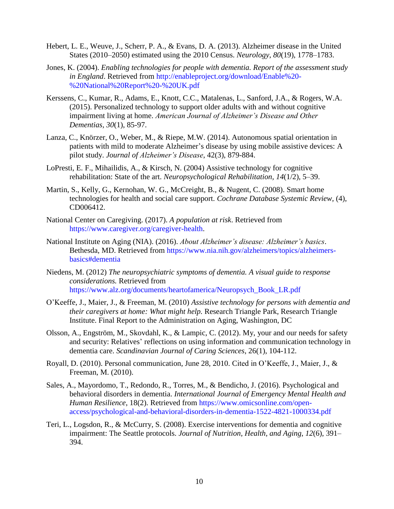- Hebert, L. E., Weuve, J., Scherr, P. A., & Evans, D. A. (2013). Alzheimer disease in the United States (2010–2050) estimated using the 2010 Census. *Neurology*, *80*(19), 1778–1783.
- Jones, K. (2004). *Enabling technologies for people with dementia. Report of the assessment study in England*. Retrieved from [http://enableproject.org/download/Enable%20-](http://enableproject.org/download/Enable%20-%20National%20Report%20-%20UK.pdf) [%20National%20Report%20-%20UK.pdf](http://enableproject.org/download/Enable%20-%20National%20Report%20-%20UK.pdf)
- Kerssens, C., Kumar, R., Adams, E., Knott, C.C., Matalenas, L., Sanford, J.A., & Rogers, W.A. (2015). Personalized technology to support older adults with and without cognitive impairment living at home. *American Journal of Alzheimer's Disease and Other Dementias, 30*(1), 85-97.
- Lanza, C., Knörzer, O., Weber, M., & Riepe, M.W. (2014). Autonomous spatial orientation in patients with mild to moderate Alzheimer's disease by using mobile assistive devices: A pilot study. *Journal of Alzheimer's Disease*, 42(3), 879-884.
- LoPresti, E. F., Mihailidis, A., & Kirsch, N. (2004) Assistive technology for cognitive rehabilitation: State of the art. *Neuropsychological Rehabilitation, 14*(1/2), 5–39.
- Martin, S., Kelly, G., Kernohan, W. G., McCreight, B., & Nugent, C. (2008). Smart home technologies for health and social care support. *Cochrane Database Systemic Review,* (4), CD006412.
- National Center on Caregiving. (2017). *A population at risk*. Retrieved from [https://www.caregiver.org/caregiver-health.](https://www.caregiver.org/caregiver-health)
- National Institute on Aging (NIA). (2016). *About Alzheimer's disease: Alzheimer's basics*. Bethesda, MD. Retrieved from [https://www.nia.nih.gov/alzheimers/topics/alzheimers](https://www.nia.nih.gov/alzheimers/topics/alzheimers-basics#dementia)[basics#dementia](https://www.nia.nih.gov/alzheimers/topics/alzheimers-basics#dementia)
- Niedens, M. (2012) *The neuropsychiatric symptoms of dementia. A visual guide to response considerations.* Retrieved from [https://www.alz.org/documents/heartofamerica/Neuropsych\\_Book\\_LR.pdf](https://www.alz.org/documents/heartofamerica/Neuropsych_Book_LR.pdf)
- O'Keeffe, J., Maier, J., & Freeman, M. (2010) *Assistive technology for persons with dementia and their caregivers at home: What might help.* Research Triangle Park, Research Triangle Institute. Final Report to the Administration on Aging, Washington, DC
- Olsson, A., Engström, M., Skovdahl, K., & Lampic, C. (2012). My, your and our needs for safety and security: Relatives' reflections on using information and communication technology in dementia care. *Scandinavian Journal of Caring Sciences*, 26(1), 104-112.
- Royall, D. (2010). Personal communication, June 28, 2010. Cited in O'Keeffe, J., Maier, J., & Freeman, M. (2010).
- Sales, A., Mayordomo, T., Redondo, R., Torres, M., & Bendicho, J. (2016). Psychological and behavioral disorders in dementia. *International Journal of Emergency Mental Health and Human Resilience*, 18(2). Retrieved from [https://www.omicsonline.com/open](https://www.omicsonline.com/open-access/psychological-and-behavioral-disorders-in-dementia-1522-4821-1000334.pdf)[access/psychological-and-behavioral-disorders-in-dementia-1522-4821-1000334.pdf](https://www.omicsonline.com/open-access/psychological-and-behavioral-disorders-in-dementia-1522-4821-1000334.pdf)
- Teri, L., Logsdon, R., & McCurry, S. (2008). Exercise interventions for dementia and cognitive impairment: The Seattle protocols. *Journal of Nutrition, Health, and Aging*, *12*(6), 391– 394.